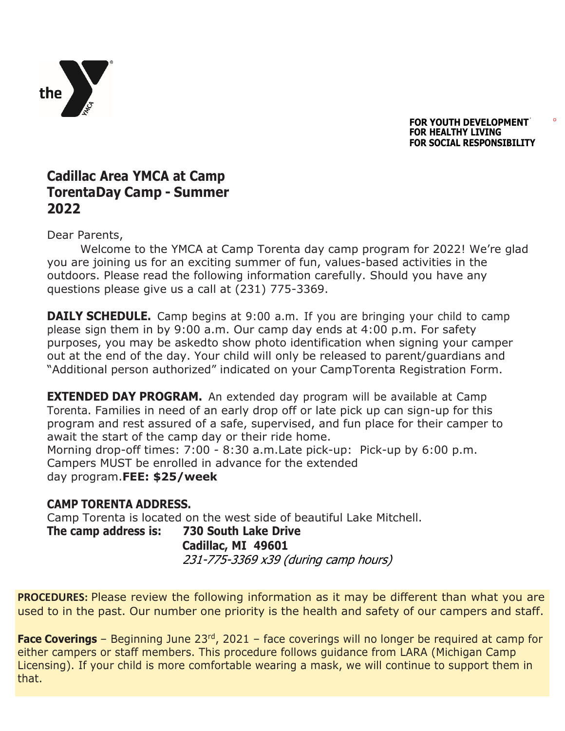

**FOR YOUTH DEVELOPMENT FOR HEALTHY LIVING FOR SOCIAL RESPONSIBILITY**

## **Cadillac Area YMCA at Camp TorentaDay Camp - Summer 2022**

Dear Parents,

Welcome to the YMCA at Camp Torenta day camp program for 2022! We're glad you are joining us for an exciting summer of fun, values-based activities in the outdoors. Please read the following information carefully. Should you have any questions please give us a call at (231) 775-3369.

**DAILY SCHEDULE.** Camp begins at 9:00 a.m. If you are bringing your child to camp please sign them in by 9:00 a.m. Our camp day ends at 4:00 p.m. For safety purposes, you may be askedto show photo identification when signing your camper out at the end of the day. Your child will only be released to parent/guardians and "Additional person authorized" indicated on your CampTorenta Registration Form.

**EXTENDED DAY PROGRAM.** An extended day program will be available at Camp Torenta. Families in need of an early drop off or late pick up can sign-up for this program and rest assured of a safe, supervised, and fun place for their camper to await the start of the camp day or their ride home. Morning drop-off times: 7:00 - 8:30 a.m.Late pick-up: Pick-up by 6:00 p.m.

Campers MUST be enrolled in advance for the extended day program.**FEE: \$25/week**

## **CAMP TORENTA ADDRESS.**

Camp Torenta is located on the west side of beautiful Lake Mitchell.

**The camp address is: 730 South Lake Drive Cadillac, MI 49601** 231-775-3369 x39 (during camp hours)

**PROCEDURES:** Please review the following information as it may be different than what you are used to in the past. Our number one priority is the health and safety of our campers and staff.

**Face Coverings** – Beginning June 23<sup>rd</sup>, 2021 – face coverings will no longer be required at camp for either campers or staff members. This procedure follows guidance from LARA (Michigan Camp Licensing). If your child is more comfortable wearing a mask, we will continue to support them in that.